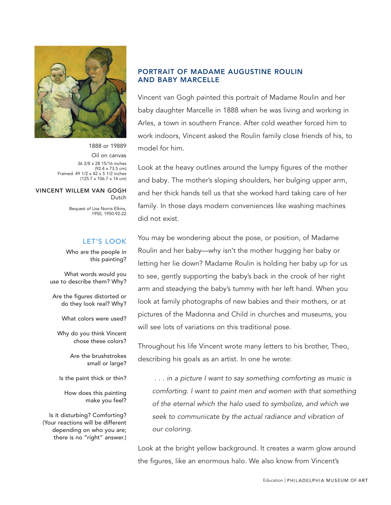

1888 or 19889 Oil on canvas 36 3/8 x 28 15/16 inches (92.4 x 73.5 cm) Framed: 49 1/2 x 42 x 5 1/2 inches (125.7 x 106.7 x 14 cm)

#### VINCENT WILLEM VAN GOGH Dutch

Bequest of Lisa Norris Elkins, 1950, 1950-92-22

### LET'S LOOK

Who are the people in this painting?

What words would you use to describe them? Why?

Are the figures distorted or do they look real? Why?

What colors were used?

Why do you think Vincent chose these colors?

> Are the brushstrokes small or large?

Is the paint thick or thin?

How does this painting make you feel?

Is it disturbing? Comforting? (Your reactions will be different depending on who you are; there is no "right" answer.)

## PORTRAIT OF MADAME AUGUSTINE ROULIN AND BABY MARCELLE

Vincent van Gogh painted this portrait of Madame Roulin and her baby daughter Marcelle in 1888 when he was living and working in Arles, a town in southern France. After cold weather forced him to work indoors, Vincent asked the Roulin family close friends of his, to model for him.

Look at the heavy outlines around the lumpy figures of the mother and baby. The mother's sloping shoulders, her bulging upper arm, and her thick hands tell us that she worked hard taking care of her family. In those days modern conveniences like washing machines did not exist.

You may be wondering about the pose, or position, of Madame Roulin and her baby—why isn't the mother hugging her baby or letting her lie down? Madame Roulin is holding her baby up for us to see, gently supporting the baby's back in the crook of her right arm and steadying the baby's tummy with her left hand. When you look at family photographs of new babies and their mothers, or at pictures of the Madonna and Child in churches and museums, you will see lots of variations on this traditional pose.

Throughout his life Vincent wrote many letters to his brother, Theo, describing his goals as an artist. In one he wrote:

 . . . in a picture I want to say something comforting as music is comforting. I want to paint men and women with that something of the eternal which the halo used to symbolize, and which we seek to communicate by the actual radiance and vibration of our coloring.

Look at the bright yellow background. It creates a warm glow around the figures, like an enormous halo. We also know from Vincent's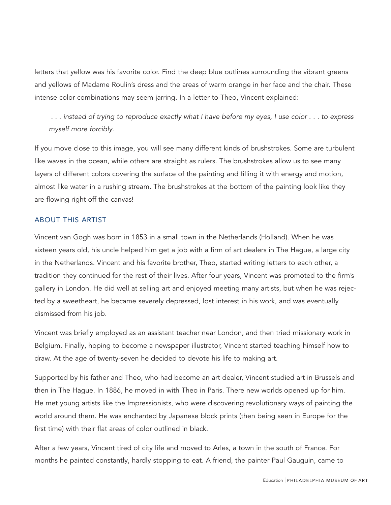letters that yellow was his favorite color. Find the deep blue outlines surrounding the vibrant greens and yellows of Madame Roulin's dress and the areas of warm orange in her face and the chair. These intense color combinations may seem jarring. In a letter to Theo, Vincent explained:

 . . . instead of trying to reproduce exactly what I have before my eyes, I use color . . . to express myself more forcibly.

If you move close to this image, you will see many different kinds of brushstrokes. Some are turbulent like waves in the ocean, while others are straight as rulers. The brushstrokes allow us to see many layers of different colors covering the surface of the painting and filling it with energy and motion, almost like water in a rushing stream. The brushstrokes at the bottom of the painting look like they are flowing right off the canvas!

## ABOUT THIS ARTIST

Vincent van Gogh was born in 1853 in a small town in the Netherlands (Holland). When he was sixteen years old, his uncle helped him get a job with a firm of art dealers in The Hague, a large city in the Netherlands. Vincent and his favorite brother, Theo, started writing letters to each other, a tradition they continued for the rest of their lives. After four years, Vincent was promoted to the firm's gallery in London. He did well at selling art and enjoyed meeting many artists, but when he was rejected by a sweetheart, he became severely depressed, lost interest in his work, and was eventually dismissed from his job.

Vincent was briefly employed as an assistant teacher near London, and then tried missionary work in Belgium. Finally, hoping to become a newspaper illustrator, Vincent started teaching himself how to draw. At the age of twenty-seven he decided to devote his life to making art.

Supported by his father and Theo, who had become an art dealer, Vincent studied art in Brussels and then in The Hague. In 1886, he moved in with Theo in Paris. There new worlds opened up for him. He met young artists like the Impressionists, who were discovering revolutionary ways of painting the world around them. He was enchanted by Japanese block prints (then being seen in Europe for the first time) with their flat areas of color outlined in black.

After a few years, Vincent tired of city life and moved to Arles, a town in the south of France. For months he painted constantly, hardly stopping to eat. A friend, the painter Paul Gauguin, came to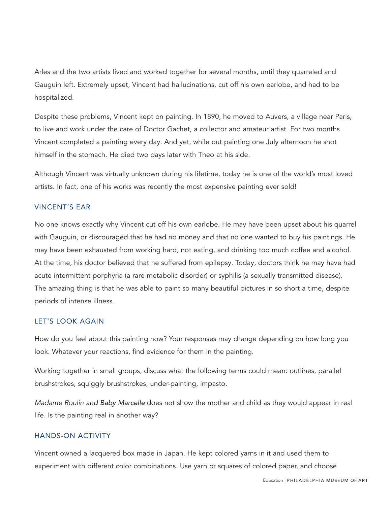Arles and the two artists lived and worked together for several months, until they quarreled and Gauguin left. Extremely upset, Vincent had hallucinations, cut off his own earlobe, and had to be hospitalized.

Despite these problems, Vincent kept on painting. In 1890, he moved to Auvers, a village near Paris, to live and work under the care of Doctor Gachet, a collector and amateur artist. For two months Vincent completed a painting every day. And yet, while out painting one July afternoon he shot himself in the stomach. He died two days later with Theo at his side.

Although Vincent was virtually unknown during his lifetime, today he is one of the world's most loved artists. In fact, one of his works was recently the most expensive painting ever sold!

## VINCENT'S EAR

No one knows exactly why Vincent cut off his own earlobe. He may have been upset about his quarrel with Gauguin, or discouraged that he had no money and that no one wanted to buy his paintings. He may have been exhausted from working hard, not eating, and drinking too much coffee and alcohol. At the time, his doctor believed that he suffered from epilepsy. Today, doctors think he may have had acute intermittent porphyria (a rare metabolic disorder) or syphilis (a sexually transmitted disease). The amazing thing is that he was able to paint so many beautiful pictures in so short a time, despite periods of intense illness.

### LET'S LOOK AGAIN

How do you feel about this painting now? Your responses may change depending on how long you look. Whatever your reactions, find evidence for them in the painting.

Working together in small groups, discuss what the following terms could mean: outlines, parallel brushstrokes, squiggly brushstrokes, under-painting, impasto.

Madame Roulin *and Baby Marcelle* does not show the mother and child as they would appear in real life. Is the painting real in another way?

### HANDS-ON ACTIVITY

Vincent owned a lacquered box made in Japan. He kept colored yarns in it and used them to experiment with different color combinations. Use yarn or squares of colored paper, and choose